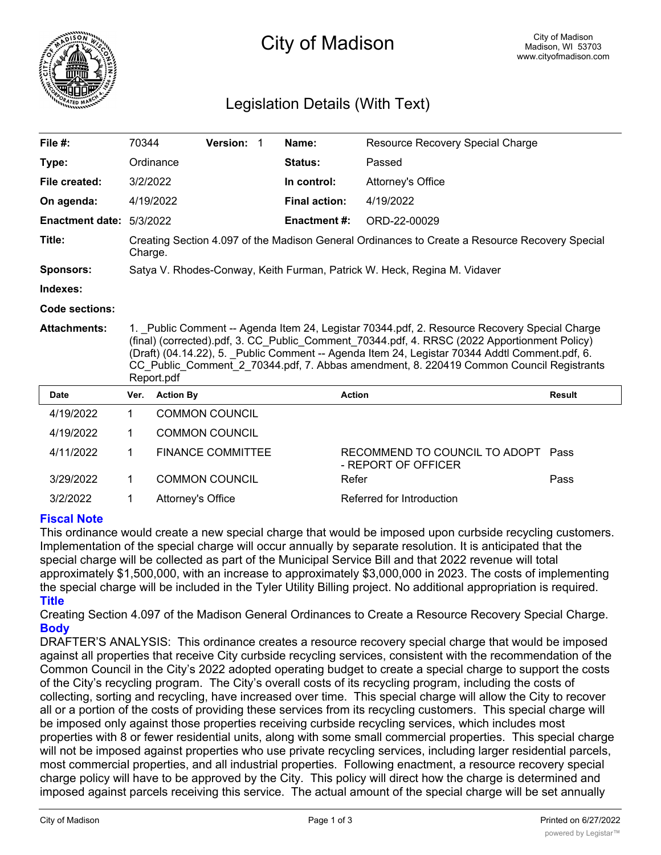

# City of Madison

# Legislation Details (With Text)

| File #:                | 70344                                                                                                                                                                                                                                                                                                                                                                                                  | <b>Version: 1</b> |  | Name:                | Resource Recovery Special Charge |  |  |
|------------------------|--------------------------------------------------------------------------------------------------------------------------------------------------------------------------------------------------------------------------------------------------------------------------------------------------------------------------------------------------------------------------------------------------------|-------------------|--|----------------------|----------------------------------|--|--|
| Type:                  | Ordinance                                                                                                                                                                                                                                                                                                                                                                                              |                   |  | <b>Status:</b>       | Passed                           |  |  |
| File created:          | 3/2/2022                                                                                                                                                                                                                                                                                                                                                                                               |                   |  | In control:          | Attorney's Office                |  |  |
| On agenda:             | 4/19/2022                                                                                                                                                                                                                                                                                                                                                                                              |                   |  | <b>Final action:</b> | 4/19/2022                        |  |  |
| <b>Enactment date:</b> | 5/3/2022                                                                                                                                                                                                                                                                                                                                                                                               |                   |  | Enactment #:         | ORD-22-00029                     |  |  |
| Title:                 | Creating Section 4.097 of the Madison General Ordinances to Create a Resource Recovery Special<br>Charge.                                                                                                                                                                                                                                                                                              |                   |  |                      |                                  |  |  |
| <b>Sponsors:</b>       | Satya V. Rhodes-Conway, Keith Furman, Patrick W. Heck, Regina M. Vidaver                                                                                                                                                                                                                                                                                                                               |                   |  |                      |                                  |  |  |
| Indexes:               |                                                                                                                                                                                                                                                                                                                                                                                                        |                   |  |                      |                                  |  |  |
| Code sections:         |                                                                                                                                                                                                                                                                                                                                                                                                        |                   |  |                      |                                  |  |  |
| <b>Attachments:</b>    | 1. Public Comment -- Agenda Item 24, Legistar 70344.pdf, 2. Resource Recovery Special Charge<br>(final) (corrected).pdf, 3. CC Public Comment 70344.pdf, 4. RRSC (2022 Apportionment Policy)<br>(Draft) (04.14.22), 5. Public Comment -- Agenda Item 24, Legistar 70344 Addtl Comment.pdf, 6.<br>CC Public Comment 2 70344.pdf, 7. Abbas amendment, 8. 220419 Common Council Registrants<br>Renort ndf |                   |  |                      |                                  |  |  |

|           |      | <b>INGPORT</b>           |                                                           |               |
|-----------|------|--------------------------|-----------------------------------------------------------|---------------|
| Date      | Ver. | <b>Action By</b>         | <b>Action</b>                                             | <b>Result</b> |
| 4/19/2022 |      | <b>COMMON COUNCIL</b>    |                                                           |               |
| 4/19/2022 |      | <b>COMMON COUNCIL</b>    |                                                           |               |
| 4/11/2022 |      | <b>FINANCE COMMITTEE</b> | RECOMMEND TO COUNCIL TO ADOPT Pass<br>- REPORT OF OFFICER |               |
| 3/29/2022 |      | <b>COMMON COUNCIL</b>    | Refer                                                     | Pass          |
| 3/2/2022  |      | Attorney's Office        | Referred for Introduction                                 |               |

## **Fiscal Note**

This ordinance would create a new special charge that would be imposed upon curbside recycling customers. Implementation of the special charge will occur annually by separate resolution. It is anticipated that the special charge will be collected as part of the Municipal Service Bill and that 2022 revenue will total approximately \$1,500,000, with an increase to approximately \$3,000,000 in 2023. The costs of implementing the special charge will be included in the Tyler Utility Billing project. No additional appropriation is required. **Title**

#### Creating Section 4.097 of the Madison General Ordinances to Create a Resource Recovery Special Charge. **Body**

DRAFTER'S ANALYSIS: This ordinance creates a resource recovery special charge that would be imposed against all properties that receive City curbside recycling services, consistent with the recommendation of the Common Council in the City's 2022 adopted operating budget to create a special charge to support the costs of the City's recycling program. The City's overall costs of its recycling program, including the costs of collecting, sorting and recycling, have increased over time. This special charge will allow the City to recover all or a portion of the costs of providing these services from its recycling customers. This special charge will be imposed only against those properties receiving curbside recycling services, which includes most properties with 8 or fewer residential units, along with some small commercial properties. This special charge will not be imposed against properties who use private recycling services, including larger residential parcels, most commercial properties, and all industrial properties. Following enactment, a resource recovery special charge policy will have to be approved by the City. This policy will direct how the charge is determined and imposed against parcels receiving this service. The actual amount of the special charge will be set annually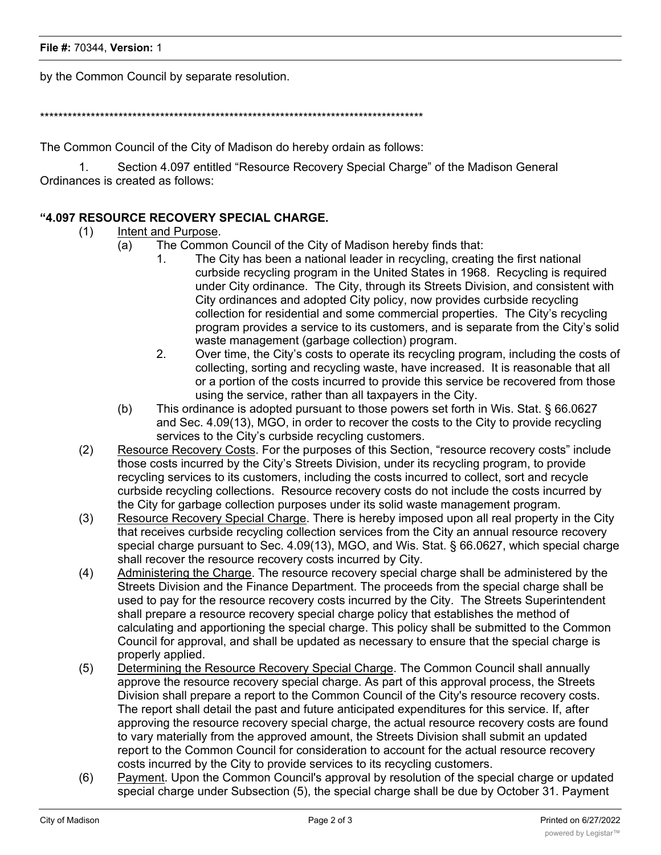#### **File #:** 70344, **Version:** 1

by the Common Council by separate resolution.

#### \*\*\*\*\*\*\*\*\*\*\*\*\*\*\*\*\*\*\*\*\*\*\*\*\*\*\*\*\*\*\*\*\*\*\*\*\*\*\*\*\*\*\*\*\*\*\*\*\*\*\*\*\*\*\*\*\*\*\*\*\*\*\*\*\*\*\*\*\*\*\*\*\*\*\*\*\*\*\*\*\*\*\*

The Common Council of the City of Madison do hereby ordain as follows:

1. Section 4.097 entitled "Resource Recovery Special Charge" of the Madison General Ordinances is created as follows:

## **"4.097 RESOURCE RECOVERY SPECIAL CHARGE.**

- (1) Intent and Purpose.
	- (a) The Common Council of the City of Madison hereby finds that:
		- 1. The City has been a national leader in recycling, creating the first national curbside recycling program in the United States in 1968. Recycling is required under City ordinance. The City, through its Streets Division, and consistent with City ordinances and adopted City policy, now provides curbside recycling collection for residential and some commercial properties. The City's recycling program provides a service to its customers, and is separate from the City's solid waste management (garbage collection) program.
		- 2. Over time, the City's costs to operate its recycling program, including the costs of collecting, sorting and recycling waste, have increased. It is reasonable that all or a portion of the costs incurred to provide this service be recovered from those using the service, rather than all taxpayers in the City.
	- (b) This ordinance is adopted pursuant to those powers set forth in Wis. Stat. § 66.0627 and Sec. 4.09(13), MGO, in order to recover the costs to the City to provide recycling services to the City's curbside recycling customers.
- (2) Resource Recovery Costs. For the purposes of this Section, "resource recovery costs" include those costs incurred by the City's Streets Division, under its recycling program, to provide recycling services to its customers, including the costs incurred to collect, sort and recycle curbside recycling collections. Resource recovery costs do not include the costs incurred by the City for garbage collection purposes under its solid waste management program.
- (3) Resource Recovery Special Charge. There is hereby imposed upon all real property in the City that receives curbside recycling collection services from the City an annual resource recovery special charge pursuant to Sec. 4.09(13), MGO, and Wis. Stat. § 66.0627, which special charge shall recover the resource recovery costs incurred by City.
- (4) Administering the Charge. The resource recovery special charge shall be administered by the Streets Division and the Finance Department. The proceeds from the special charge shall be used to pay for the resource recovery costs incurred by the City. The Streets Superintendent shall prepare a resource recovery special charge policy that establishes the method of calculating and apportioning the special charge. This policy shall be submitted to the Common Council for approval, and shall be updated as necessary to ensure that the special charge is properly applied.
- (5) Determining the Resource Recovery Special Charge. The Common Council shall annually approve the resource recovery special charge. As part of this approval process, the Streets Division shall prepare a report to the Common Council of the City's resource recovery costs. The report shall detail the past and future anticipated expenditures for this service. If, after approving the resource recovery special charge, the actual resource recovery costs are found to vary materially from the approved amount, the Streets Division shall submit an updated report to the Common Council for consideration to account for the actual resource recovery costs incurred by the City to provide services to its recycling customers.
- (6) Payment. Upon the Common Council's approval by resolution of the special charge or updated special charge under Subsection (5), the special charge shall be due by October 31. Payment